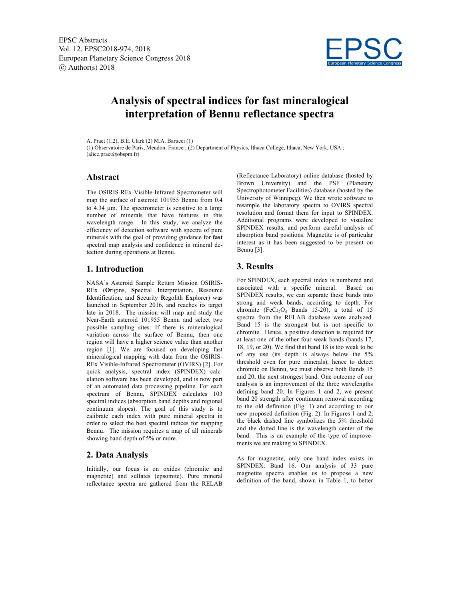

# **Analysis of spectral indices for fast mineralogical interpretation of Bennu reflectance spectra**

A. Praet (1,2), B.E. Clark (2) M.A. Barucci (1)

(1) Observatoire de Paris, Meudon, France ; (2) Department of Physics, Ithaca College, Ithaca, New York, USA ; (alice.praet@obspm.fr)

#### **Abstract**

The OSIRIS-REx Visible-Infrared Spectrometer will map the surface of asteroid 101955 Bennu from 0.4 to 4.34 µm. The spectrometer is sensitive to a large number of minerals that have features in this wavelength range. In this study, we analyze the efficiency of detection software with spectra of pure minerals with the goal of providing guidance for **fast**  spectral map analysis and confidence in mineral detection during operations at Bennu.

### **1. Introduction**

NASA's Asteroid Sample Return Mission OSIRIS-REx (**O**rigins, **S**pectral **I**nterpretation, **R**esource **I**dentification, and **S**ecurity **R**egolith **Ex**plorer) was launched in September 2016, and reaches its target late in 2018. The mission will map and study the Near-Earth asteroid 101955 Bennu and select two possible sampling sites. If there is mineralogical variation across the surface of Bennu, then one region will have a higher science value than another region [1]. We are focused on developing fast mineralogical mapping with data from the OSIRIS-REx Visible-Infrared Spectrometer (OVIRS) [2]. For quick analysis, spectral index (SPINDEX) calculation software has been developed, and is now part of an automated data processing pipeline. For each spectrum of Bennu, SPINDEX calculates 103 spectral indices (absorption band depths and regional continuum slopes). The goal of this study is to calibrate each index with pure mineral spectra in order to select the best spectral indices for mapping Bennu. The mission requires a map of all minerals showing band depth of 5% or more.

# **2. Data Analysis**

Initially, our focus is on oxides (chromite and magnetite) and sulfates (epsomite). Pure mineral reflectance spectra are gathered from the RELAB (Reflectance Laboratory) online database (hosted by Brown University) and the PSF (Planetary Spectrophotometer Facilities) database (hosted by the University of Winnipeg). We then wrote software to resample the laboratory spectra to OVIRS spectral resolution and format them for input to SPINDEX. Additional programs were developed to visualize SPINDEX results, and perform careful analysis of absorption band positions. Magnetite is of particular interest as it has been suggested to be present on Bennu [3].

### **3. Results**

For SPINDEX, each spectral index is numbered and associated with a specific mineral. Based on SPINDEX results, we can separate these bands into strong and weak bands, according to depth. For chromite (Fe $Cr_2O_4$  Bands 15-20), a total of 15 spectra from the RELAB database were analyzed. Band 15 is the strongest but is not specific to chromite. Hence, a positive detection is required for at least one of the other four weak bands (bands 17, 18, 19, or 20). We find that band 18 is too weak to be of any use (its depth is always below the 5% threshold even for pure minerals), hence to detect chromite on Bennu, we must observe both Bands 15 and 20, the next strongest band. One outcome of our analysis is an improvement of the three wavelengths defining band 20. In Figures 1 and 2, we present band 20 strength after continuum removal according to the old definition (Fig. 1) and according to our new proposed definition (Fig. 2). In Figures 1 and 2, the black dashed line symbolizes the 5% threshold and the dotted line is the wavelength center of the band. This is an example of the type of improvements we are making to SPINDEX.

As for magnetite, only one band index exists in SPINDEX: Band 16. Our analysis of 33 pure magnetite spectra enables us to propose a new definition of the band, shown in Table 1, to better